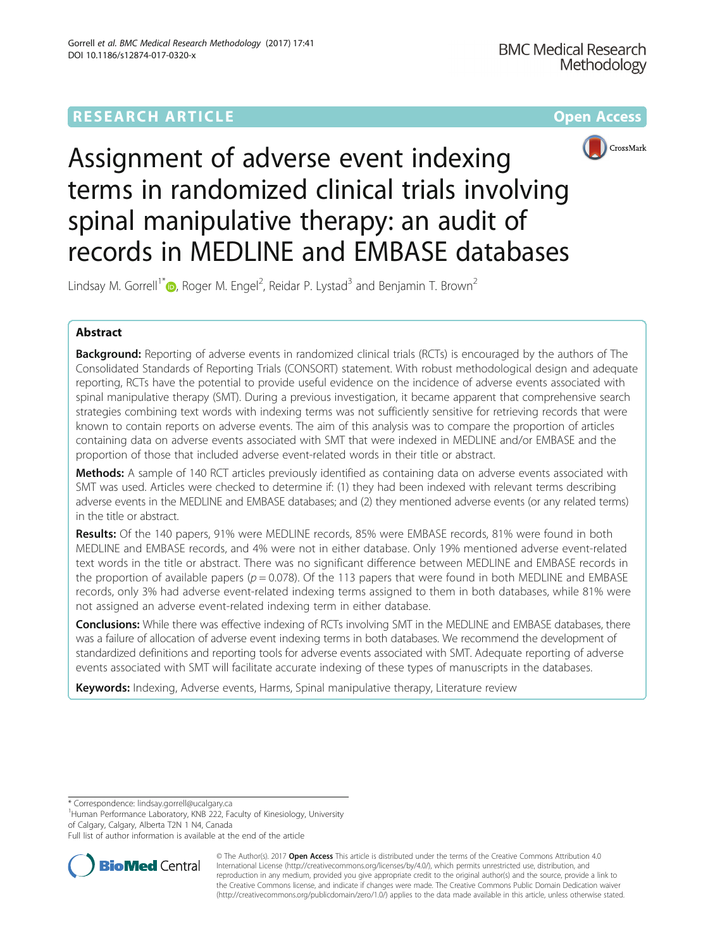# **RESEARCH ARTICLE Example 2014 12:30 The Contract of Contract Article 2014**



Assignment of adverse event indexing terms in randomized clinical trials involving spinal manipulative therapy: an audit of records in MEDLINE and EMBASE databases

Lindsay M. Gorrell<sup>1[\\*](http://orcid.org/0000-0002-1937-741X)</sup> , Roger M. Engel<sup>2</sup>, Reidar P. Lystad<sup>3</sup> and Benjamin T. Brown<sup>2</sup>

# Abstract

**Background:** Reporting of adverse events in randomized clinical trials (RCTs) is encouraged by the authors of The Consolidated Standards of Reporting Trials (CONSORT) statement. With robust methodological design and adequate reporting, RCTs have the potential to provide useful evidence on the incidence of adverse events associated with spinal manipulative therapy (SMT). During a previous investigation, it became apparent that comprehensive search strategies combining text words with indexing terms was not sufficiently sensitive for retrieving records that were known to contain reports on adverse events. The aim of this analysis was to compare the proportion of articles containing data on adverse events associated with SMT that were indexed in MEDLINE and/or EMBASE and the proportion of those that included adverse event-related words in their title or abstract.

Methods: A sample of 140 RCT articles previously identified as containing data on adverse events associated with SMT was used. Articles were checked to determine if: (1) they had been indexed with relevant terms describing adverse events in the MEDLINE and EMBASE databases; and (2) they mentioned adverse events (or any related terms) in the title or abstract.

Results: Of the 140 papers, 91% were MEDLINE records, 85% were EMBASE records, 81% were found in both MEDLINE and EMBASE records, and 4% were not in either database. Only 19% mentioned adverse event-related text words in the title or abstract. There was no significant difference between MEDLINE and EMBASE records in the proportion of available papers ( $p = 0.078$ ). Of the 113 papers that were found in both MEDLINE and EMBASE records, only 3% had adverse event-related indexing terms assigned to them in both databases, while 81% were not assigned an adverse event-related indexing term in either database.

Conclusions: While there was effective indexing of RCTs involving SMT in the MEDLINE and EMBASE databases, there was a failure of allocation of adverse event indexing terms in both databases. We recommend the development of standardized definitions and reporting tools for adverse events associated with SMT. Adequate reporting of adverse events associated with SMT will facilitate accurate indexing of these types of manuscripts in the databases.

Keywords: Indexing, Adverse events, Harms, Spinal manipulative therapy, Literature review

<sup>1</sup>Human Performance Laboratory, KNB 222, Faculty of Kinesiology, University of Calgary, Calgary, Alberta T2N 1 N4, Canada

Full list of author information is available at the end of the article



© The Author(s). 2017 **Open Access** This article is distributed under the terms of the Creative Commons Attribution 4.0 International License [\(http://creativecommons.org/licenses/by/4.0/](http://creativecommons.org/licenses/by/4.0/)), which permits unrestricted use, distribution, and reproduction in any medium, provided you give appropriate credit to the original author(s) and the source, provide a link to the Creative Commons license, and indicate if changes were made. The Creative Commons Public Domain Dedication waiver [\(http://creativecommons.org/publicdomain/zero/1.0/](http://creativecommons.org/publicdomain/zero/1.0/)) applies to the data made available in this article, unless otherwise stated.

<sup>\*</sup> Correspondence: [lindsay.gorrell@ucalgary.ca](mailto:lindsay.gorrell@ucalgary.ca) <sup>1</sup>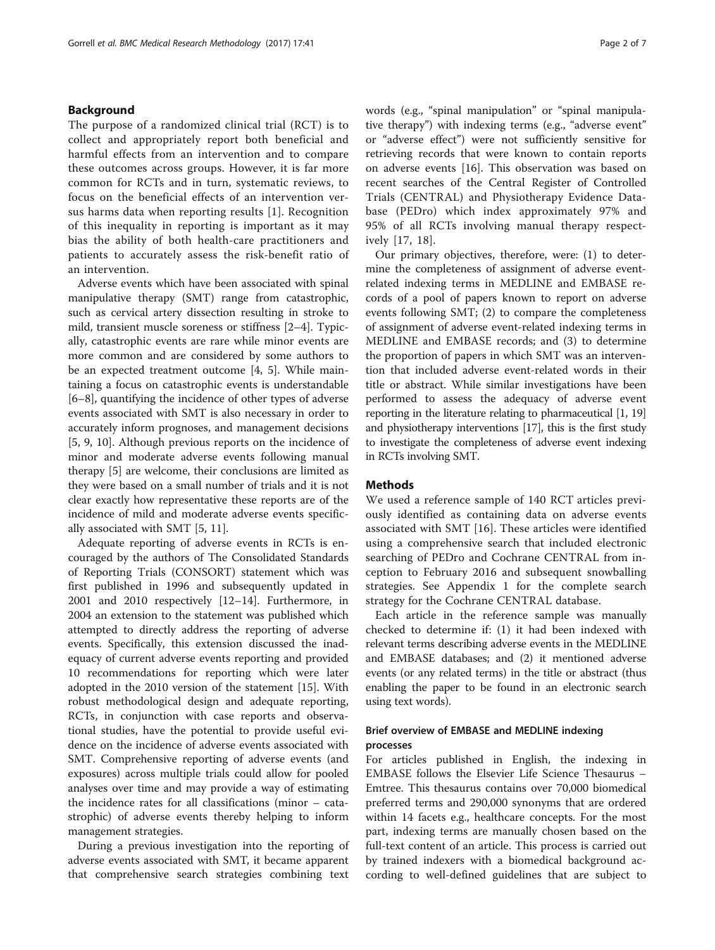# Background

The purpose of a randomized clinical trial (RCT) is to collect and appropriately report both beneficial and harmful effects from an intervention and to compare these outcomes across groups. However, it is far more common for RCTs and in turn, systematic reviews, to focus on the beneficial effects of an intervention versus harms data when reporting results [[1](#page-5-0)]. Recognition of this inequality in reporting is important as it may bias the ability of both health-care practitioners and patients to accurately assess the risk-benefit ratio of an intervention.

Adverse events which have been associated with spinal manipulative therapy (SMT) range from catastrophic, such as cervical artery dissection resulting in stroke to mild, transient muscle soreness or stiffness [[2](#page-5-0)–[4\]](#page-5-0). Typically, catastrophic events are rare while minor events are more common and are considered by some authors to be an expected treatment outcome [[4, 5\]](#page-5-0). While maintaining a focus on catastrophic events is understandable [[6](#page-5-0)–[8\]](#page-5-0), quantifying the incidence of other types of adverse events associated with SMT is also necessary in order to accurately inform prognoses, and management decisions [[5,](#page-5-0) [9, 10](#page-6-0)]. Although previous reports on the incidence of minor and moderate adverse events following manual therapy [[5](#page-5-0)] are welcome, their conclusions are limited as they were based on a small number of trials and it is not clear exactly how representative these reports are of the incidence of mild and moderate adverse events specifically associated with SMT [\[5](#page-5-0), [11](#page-6-0)].

Adequate reporting of adverse events in RCTs is encouraged by the authors of The Consolidated Standards of Reporting Trials (CONSORT) statement which was first published in 1996 and subsequently updated in 2001 and 2010 respectively [[12](#page-6-0)–[14](#page-6-0)]. Furthermore, in 2004 an extension to the statement was published which attempted to directly address the reporting of adverse events. Specifically, this extension discussed the inadequacy of current adverse events reporting and provided 10 recommendations for reporting which were later adopted in the 2010 version of the statement [[15\]](#page-6-0). With robust methodological design and adequate reporting, RCTs, in conjunction with case reports and observational studies, have the potential to provide useful evidence on the incidence of adverse events associated with SMT. Comprehensive reporting of adverse events (and exposures) across multiple trials could allow for pooled analyses over time and may provide a way of estimating the incidence rates for all classifications (minor – catastrophic) of adverse events thereby helping to inform management strategies.

During a previous investigation into the reporting of adverse events associated with SMT, it became apparent that comprehensive search strategies combining text words (e.g., "spinal manipulation" or "spinal manipulative therapy") with indexing terms (e.g., "adverse event" or "adverse effect") were not sufficiently sensitive for retrieving records that were known to contain reports on adverse events [[16](#page-6-0)]. This observation was based on recent searches of the Central Register of Controlled Trials (CENTRAL) and Physiotherapy Evidence Database (PEDro) which index approximately 97% and 95% of all RCTs involving manual therapy respectively [[17](#page-6-0), [18\]](#page-6-0).

Our primary objectives, therefore, were: (1) to determine the completeness of assignment of adverse eventrelated indexing terms in MEDLINE and EMBASE records of a pool of papers known to report on adverse events following SMT; (2) to compare the completeness of assignment of adverse event-related indexing terms in MEDLINE and EMBASE records; and (3) to determine the proportion of papers in which SMT was an intervention that included adverse event-related words in their title or abstract. While similar investigations have been performed to assess the adequacy of adverse event reporting in the literature relating to pharmaceutical [\[1](#page-5-0), [19](#page-6-0)] and physiotherapy interventions [\[17\]](#page-6-0), this is the first study to investigate the completeness of adverse event indexing in RCTs involving SMT.

## **Methods**

We used a reference sample of 140 RCT articles previously identified as containing data on adverse events associated with SMT [[16](#page-6-0)]. These articles were identified using a comprehensive search that included electronic searching of PEDro and Cochrane CENTRAL from inception to February 2016 and subsequent snowballing strategies. See [Appendix 1](#page-5-0) for the complete search strategy for the Cochrane CENTRAL database.

Each article in the reference sample was manually checked to determine if: (1) it had been indexed with relevant terms describing adverse events in the MEDLINE and EMBASE databases; and (2) it mentioned adverse events (or any related terms) in the title or abstract (thus enabling the paper to be found in an electronic search using text words).

# Brief overview of EMBASE and MEDLINE indexing processes

For articles published in English, the indexing in EMBASE follows the Elsevier Life Science Thesaurus – Emtree. This thesaurus contains over 70,000 biomedical preferred terms and 290,000 synonyms that are ordered within 14 facets e.g., healthcare concepts. For the most part, indexing terms are manually chosen based on the full-text content of an article. This process is carried out by trained indexers with a biomedical background according to well-defined guidelines that are subject to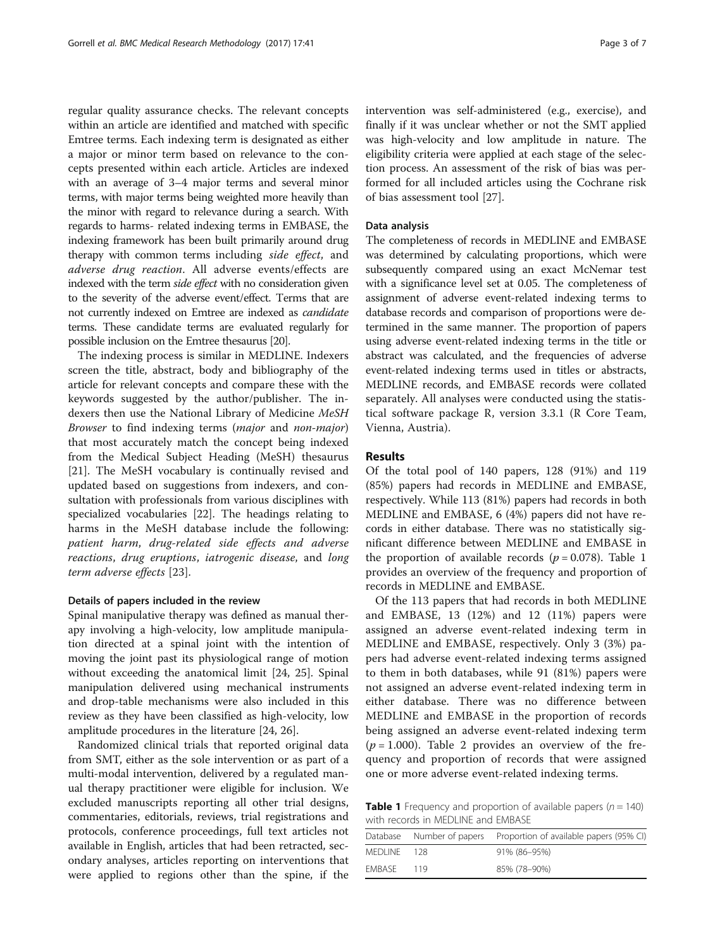regular quality assurance checks. The relevant concepts within an article are identified and matched with specific Emtree terms. Each indexing term is designated as either a major or minor term based on relevance to the concepts presented within each article. Articles are indexed with an average of 3–4 major terms and several minor terms, with major terms being weighted more heavily than the minor with regard to relevance during a search. With regards to harms- related indexing terms in EMBASE, the indexing framework has been built primarily around drug therapy with common terms including side effect, and adverse drug reaction. All adverse events/effects are indexed with the term side effect with no consideration given to the severity of the adverse event/effect. Terms that are not currently indexed on Emtree are indexed as candidate terms. These candidate terms are evaluated regularly for possible inclusion on the Emtree thesaurus [\[20](#page-6-0)].

The indexing process is similar in MEDLINE. Indexers screen the title, abstract, body and bibliography of the article for relevant concepts and compare these with the keywords suggested by the author/publisher. The indexers then use the National Library of Medicine MeSH Browser to find indexing terms (major and non-major) that most accurately match the concept being indexed from the Medical Subject Heading (MeSH) thesaurus [[21\]](#page-6-0). The MeSH vocabulary is continually revised and updated based on suggestions from indexers, and consultation with professionals from various disciplines with specialized vocabularies [\[22\]](#page-6-0). The headings relating to harms in the MeSH database include the following: patient harm, drug-related side effects and adverse reactions, drug eruptions, iatrogenic disease, and long term adverse effects [[23\]](#page-6-0).

#### Details of papers included in the review

Spinal manipulative therapy was defined as manual therapy involving a high-velocity, low amplitude manipulation directed at a spinal joint with the intention of moving the joint past its physiological range of motion without exceeding the anatomical limit [[24](#page-6-0), [25\]](#page-6-0). Spinal manipulation delivered using mechanical instruments and drop-table mechanisms were also included in this review as they have been classified as high-velocity, low amplitude procedures in the literature [[24, 26\]](#page-6-0).

Randomized clinical trials that reported original data from SMT, either as the sole intervention or as part of a multi-modal intervention, delivered by a regulated manual therapy practitioner were eligible for inclusion. We excluded manuscripts reporting all other trial designs, commentaries, editorials, reviews, trial registrations and protocols, conference proceedings, full text articles not available in English, articles that had been retracted, secondary analyses, articles reporting on interventions that were applied to regions other than the spine, if the intervention was self-administered (e.g., exercise), and finally if it was unclear whether or not the SMT applied was high-velocity and low amplitude in nature. The eligibility criteria were applied at each stage of the selection process. An assessment of the risk of bias was performed for all included articles using the Cochrane risk of bias assessment tool [\[27\]](#page-6-0).

### Data analysis

The completeness of records in MEDLINE and EMBASE was determined by calculating proportions, which were subsequently compared using an exact McNemar test with a significance level set at 0.05. The completeness of assignment of adverse event-related indexing terms to database records and comparison of proportions were determined in the same manner. The proportion of papers using adverse event-related indexing terms in the title or abstract was calculated, and the frequencies of adverse event-related indexing terms used in titles or abstracts, MEDLINE records, and EMBASE records were collated separately. All analyses were conducted using the statistical software package R, version 3.3.1 (R Core Team, Vienna, Austria).

# Results

Of the total pool of 140 papers, 128 (91%) and 119 (85%) papers had records in MEDLINE and EMBASE, respectively. While 113 (81%) papers had records in both MEDLINE and EMBASE, 6 (4%) papers did not have records in either database. There was no statistically significant difference between MEDLINE and EMBASE in the proportion of available records ( $p = 0.078$ ). Table 1 provides an overview of the frequency and proportion of records in MEDLINE and EMBASE.

Of the 113 papers that had records in both MEDLINE and EMBASE, 13 (12%) and 12 (11%) papers were assigned an adverse event-related indexing term in MEDLINE and EMBASE, respectively. Only 3 (3%) papers had adverse event-related indexing terms assigned to them in both databases, while 91 (81%) papers were not assigned an adverse event-related indexing term in either database. There was no difference between MEDLINE and EMBASE in the proportion of records being assigned an adverse event-related indexing term  $(p = 1.000)$ . Table [2](#page-3-0) provides an overview of the frequency and proportion of records that were assigned one or more adverse event-related indexing terms.

**Table 1** Frequency and proportion of available papers ( $n = 140$ ) with records in MEDLINE and EMBASE

|          |       | Database Number of papers Proportion of available papers (95% CI) |
|----------|-------|-------------------------------------------------------------------|
| MEDI INF | - 128 | 91% (86-95%)                                                      |
| FMBASE   | 119   | 85% (78-90%)                                                      |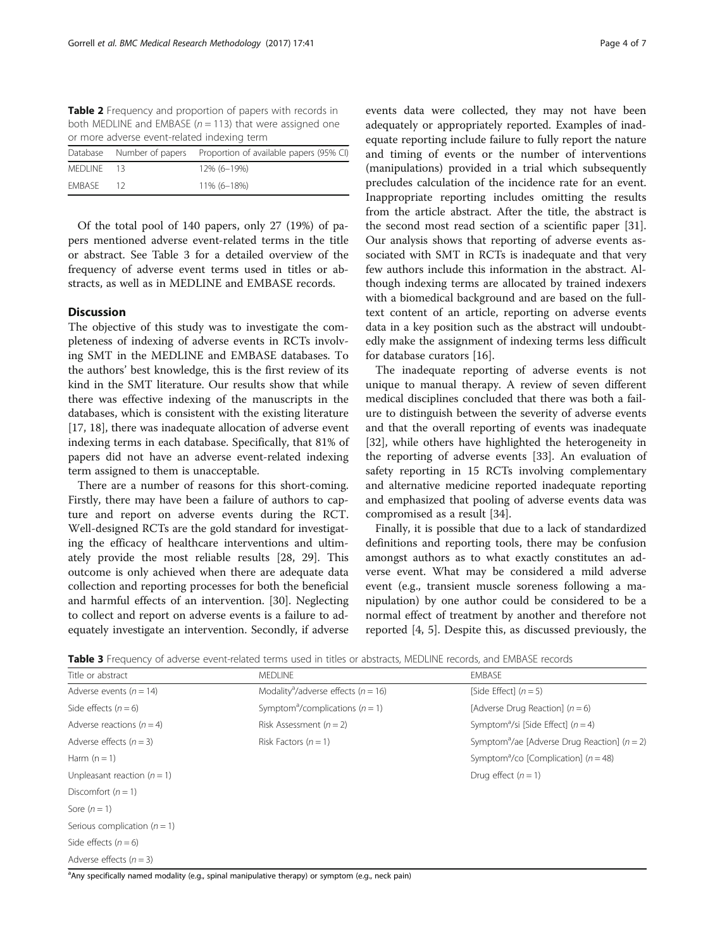<span id="page-3-0"></span>Table 2 Frequency and proportion of papers with records in both MEDLINE and EMBASE ( $n = 113$ ) that were assigned one or more adverse event-related indexing term

|            | Database Number of papers Proportion of available papers (95% CI) |
|------------|-------------------------------------------------------------------|
| MFDLINE 13 | 12% (6-19%)                                                       |
| FMBASE 12  | $11\%$ (6-18%)                                                    |

Of the total pool of 140 papers, only 27 (19%) of papers mentioned adverse event-related terms in the title or abstract. See Table 3 for a detailed overview of the frequency of adverse event terms used in titles or abstracts, as well as in MEDLINE and EMBASE records.

# Discussion

The objective of this study was to investigate the completeness of indexing of adverse events in RCTs involving SMT in the MEDLINE and EMBASE databases. To the authors' best knowledge, this is the first review of its kind in the SMT literature. Our results show that while there was effective indexing of the manuscripts in the databases, which is consistent with the existing literature [[17, 18\]](#page-6-0), there was inadequate allocation of adverse event indexing terms in each database. Specifically, that 81% of papers did not have an adverse event-related indexing term assigned to them is unacceptable.

There are a number of reasons for this short-coming. Firstly, there may have been a failure of authors to capture and report on adverse events during the RCT. Well-designed RCTs are the gold standard for investigating the efficacy of healthcare interventions and ultimately provide the most reliable results [[28, 29](#page-6-0)]. This outcome is only achieved when there are adequate data collection and reporting processes for both the beneficial and harmful effects of an intervention. [[30](#page-6-0)]. Neglecting to collect and report on adverse events is a failure to adequately investigate an intervention. Secondly, if adverse

events data were collected, they may not have been adequately or appropriately reported. Examples of inadequate reporting include failure to fully report the nature and timing of events or the number of interventions (manipulations) provided in a trial which subsequently precludes calculation of the incidence rate for an event. Inappropriate reporting includes omitting the results from the article abstract. After the title, the abstract is the second most read section of a scientific paper [\[31](#page-6-0)]. Our analysis shows that reporting of adverse events associated with SMT in RCTs is inadequate and that very few authors include this information in the abstract. Although indexing terms are allocated by trained indexers with a biomedical background and are based on the fulltext content of an article, reporting on adverse events data in a key position such as the abstract will undoubtedly make the assignment of indexing terms less difficult for database curators [[16\]](#page-6-0).

The inadequate reporting of adverse events is not unique to manual therapy. A review of seven different medical disciplines concluded that there was both a failure to distinguish between the severity of adverse events and that the overall reporting of events was inadequate [[32\]](#page-6-0), while others have highlighted the heterogeneity in the reporting of adverse events [[33\]](#page-6-0). An evaluation of safety reporting in 15 RCTs involving complementary and alternative medicine reported inadequate reporting and emphasized that pooling of adverse events data was compromised as a result [\[34\]](#page-6-0).

Finally, it is possible that due to a lack of standardized definitions and reporting tools, there may be confusion amongst authors as to what exactly constitutes an adverse event. What may be considered a mild adverse event (e.g., transient muscle soreness following a manipulation) by one author could be considered to be a normal effect of treatment by another and therefore not reported [\[4](#page-5-0), [5\]](#page-5-0). Despite this, as discussed previously, the

Table 3 Frequency of adverse event-related terms used in titles or abstracts, MEDLINE records, and EMBASE records

| Title or abstract              | <b>MEDLINE</b>                                      | <b>EMBASE</b>                                                |
|--------------------------------|-----------------------------------------------------|--------------------------------------------------------------|
| Adverse events ( $n = 14$ )    | Modality <sup>a</sup> /adverse effects ( $n = 16$ ) | [Side Effect] $(n = 5)$                                      |
| Side effects $(n = 6)$         | Symptom <sup>a</sup> /complications ( $n = 1$ )     | [Adverse Drug Reaction] $(n = 6)$                            |
| Adverse reactions ( $n = 4$ )  | Risk Assessment ( $n = 2$ )                         | Symptom <sup>a</sup> /si [Side Effect] ( $n = 4$ )           |
| Adverse effects $(n = 3)$      | Risk Factors $(n = 1)$                              | Symptom <sup>3</sup> /ae [Adverse Drug Reaction] ( $n = 2$ ) |
| Harm $(n = 1)$                 |                                                     | Symptom <sup>a</sup> /co [Complication] ( $n = 48$ )         |
| Unpleasant reaction $(n = 1)$  |                                                     | Drug effect $(n = 1)$                                        |
| Discomfort $(n = 1)$           |                                                     |                                                              |
| Sore $(n=1)$                   |                                                     |                                                              |
| Serious complication $(n = 1)$ |                                                     |                                                              |
| Side effects $(n = 6)$         |                                                     |                                                              |
| Adverse effects $(n = 3)$      |                                                     |                                                              |

<sup>a</sup>Any specifically named modality (e.g., spinal manipulative therapy) or symptom (e.g., neck pain)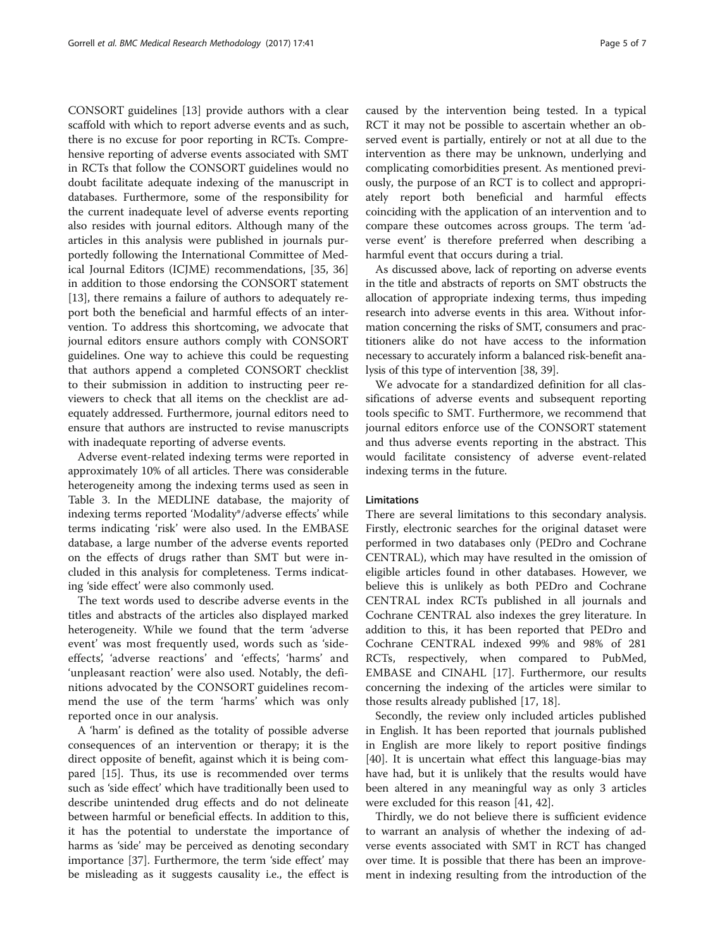CONSORT guidelines [[13\]](#page-6-0) provide authors with a clear scaffold with which to report adverse events and as such, there is no excuse for poor reporting in RCTs. Comprehensive reporting of adverse events associated with SMT in RCTs that follow the CONSORT guidelines would no doubt facilitate adequate indexing of the manuscript in databases. Furthermore, some of the responsibility for the current inadequate level of adverse events reporting also resides with journal editors. Although many of the articles in this analysis were published in journals purportedly following the International Committee of Medical Journal Editors (ICJME) recommendations, [[35, 36](#page-6-0)] in addition to those endorsing the CONSORT statement [[13\]](#page-6-0), there remains a failure of authors to adequately report both the beneficial and harmful effects of an intervention. To address this shortcoming, we advocate that journal editors ensure authors comply with CONSORT guidelines. One way to achieve this could be requesting that authors append a completed CONSORT checklist to their submission in addition to instructing peer reviewers to check that all items on the checklist are adequately addressed. Furthermore, journal editors need to ensure that authors are instructed to revise manuscripts with inadequate reporting of adverse events.

Adverse event-related indexing terms were reported in approximately 10% of all articles. There was considerable heterogeneity among the indexing terms used as seen in Table [3.](#page-3-0) In the MEDLINE database, the majority of indexing terms reported 'Modality\*/adverse effects' while terms indicating 'risk' were also used. In the EMBASE database, a large number of the adverse events reported on the effects of drugs rather than SMT but were included in this analysis for completeness. Terms indicating 'side effect' were also commonly used.

The text words used to describe adverse events in the titles and abstracts of the articles also displayed marked heterogeneity. While we found that the term 'adverse event' was most frequently used, words such as 'sideeffects', 'adverse reactions' and 'effects', 'harms' and 'unpleasant reaction' were also used. Notably, the definitions advocated by the CONSORT guidelines recommend the use of the term 'harms' which was only reported once in our analysis.

A 'harm' is defined as the totality of possible adverse consequences of an intervention or therapy; it is the direct opposite of benefit, against which it is being compared [[15\]](#page-6-0). Thus, its use is recommended over terms such as 'side effect' which have traditionally been used to describe unintended drug effects and do not delineate between harmful or beneficial effects. In addition to this, it has the potential to understate the importance of harms as 'side' may be perceived as denoting secondary importance [[37\]](#page-6-0). Furthermore, the term 'side effect' may be misleading as it suggests causality i.e., the effect is

caused by the intervention being tested. In a typical RCT it may not be possible to ascertain whether an observed event is partially, entirely or not at all due to the intervention as there may be unknown, underlying and complicating comorbidities present. As mentioned previously, the purpose of an RCT is to collect and appropriately report both beneficial and harmful effects coinciding with the application of an intervention and to compare these outcomes across groups. The term 'adverse event' is therefore preferred when describing a harmful event that occurs during a trial.

As discussed above, lack of reporting on adverse events in the title and abstracts of reports on SMT obstructs the allocation of appropriate indexing terms, thus impeding research into adverse events in this area. Without information concerning the risks of SMT, consumers and practitioners alike do not have access to the information necessary to accurately inform a balanced risk-benefit analysis of this type of intervention [\[38, 39](#page-6-0)].

We advocate for a standardized definition for all classifications of adverse events and subsequent reporting tools specific to SMT. Furthermore, we recommend that journal editors enforce use of the CONSORT statement and thus adverse events reporting in the abstract. This would facilitate consistency of adverse event-related indexing terms in the future.

## Limitations

There are several limitations to this secondary analysis. Firstly, electronic searches for the original dataset were performed in two databases only (PEDro and Cochrane CENTRAL), which may have resulted in the omission of eligible articles found in other databases. However, we believe this is unlikely as both PEDro and Cochrane CENTRAL index RCTs published in all journals and Cochrane CENTRAL also indexes the grey literature. In addition to this, it has been reported that PEDro and Cochrane CENTRAL indexed 99% and 98% of 281 RCTs, respectively, when compared to PubMed, EMBASE and CINAHL [[17](#page-6-0)]. Furthermore, our results concerning the indexing of the articles were similar to those results already published [[17, 18](#page-6-0)].

Secondly, the review only included articles published in English. It has been reported that journals published in English are more likely to report positive findings [[40\]](#page-6-0). It is uncertain what effect this language-bias may have had, but it is unlikely that the results would have been altered in any meaningful way as only 3 articles were excluded for this reason [\[41](#page-6-0), [42](#page-6-0)].

Thirdly, we do not believe there is sufficient evidence to warrant an analysis of whether the indexing of adverse events associated with SMT in RCT has changed over time. It is possible that there has been an improvement in indexing resulting from the introduction of the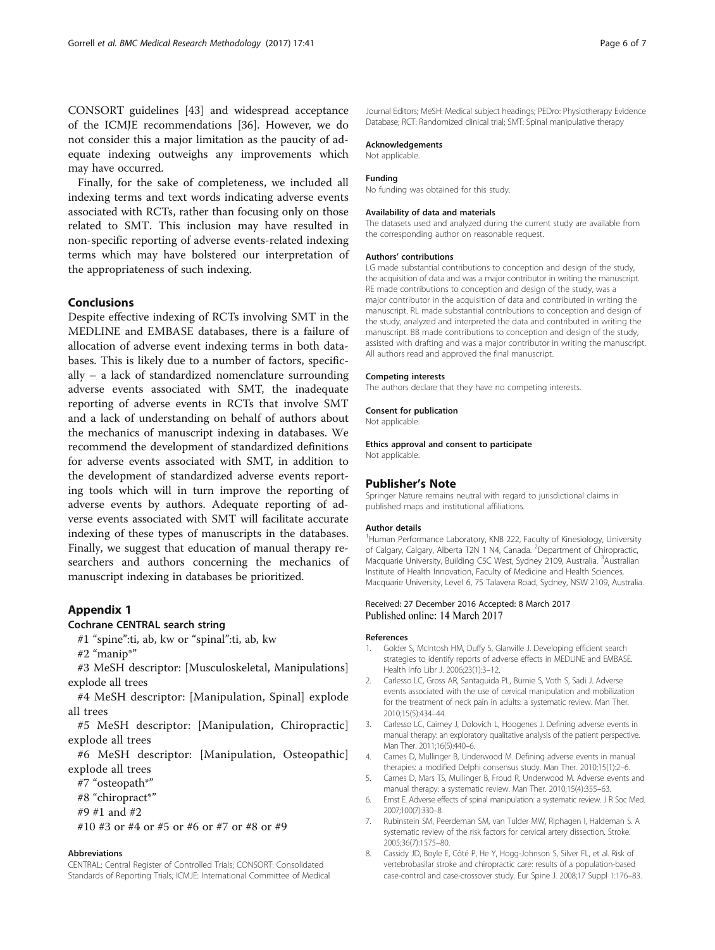<span id="page-5-0"></span>CONSORT guidelines [\[43\]](#page-6-0) and widespread acceptance of the ICMJE recommendations [\[36](#page-6-0)]. However, we do not consider this a major limitation as the paucity of adequate indexing outweighs any improvements which may have occurred.

Finally, for the sake of completeness, we included all indexing terms and text words indicating adverse events associated with RCTs, rather than focusing only on those related to SMT. This inclusion may have resulted in non-specific reporting of adverse events-related indexing terms which may have bolstered our interpretation of the appropriateness of such indexing.

# **Conclusions**

Despite effective indexing of RCTs involving SMT in the MEDLINE and EMBASE databases, there is a failure of allocation of adverse event indexing terms in both databases. This is likely due to a number of factors, specifically – a lack of standardized nomenclature surrounding adverse events associated with SMT, the inadequate reporting of adverse events in RCTs that involve SMT and a lack of understanding on behalf of authors about the mechanics of manuscript indexing in databases. We recommend the development of standardized definitions for adverse events associated with SMT, in addition to the development of standardized adverse events reporting tools which will in turn improve the reporting of adverse events by authors. Adequate reporting of adverse events associated with SMT will facilitate accurate indexing of these types of manuscripts in the databases. Finally, we suggest that education of manual therapy researchers and authors concerning the mechanics of manuscript indexing in databases be prioritized.

# Appendix 1

# Cochrane CENTRAL search string

#1 "spine":ti, ab, kw or "spinal":ti, ab, kw

#2 "manip\*"

#3 MeSH descriptor: [Musculoskeletal, Manipulations] explode all trees

#4 MeSH descriptor: [Manipulation, Spinal] explode all trees

#5 MeSH descriptor: [Manipulation, Chiropractic] explode all trees

#6 MeSH descriptor: [Manipulation, Osteopathic] explode all trees

#7 "osteopath\*"

- #8 "chiropract\*"
- #9 #1 and #2

#10 #3 or #4 or #5 or #6 or #7 or #8 or #9

#### Abbreviations

CENTRAL: Central Register of Controlled Trials; CONSORT: Consolidated Standards of Reporting Trials; ICMJE: International Committee of Medical

Journal Editors; MeSH: Medical subject headings; PEDro: Physiotherapy Evidence Database; RCT: Randomized clinical trial; SMT: Spinal manipulative therapy

#### Acknowledgements

Not applicable.

#### Funding

No funding was obtained for this study.

#### Availability of data and materials

The datasets used and analyzed during the current study are available from the corresponding author on reasonable request.

#### Authors' contributions

LG made substantial contributions to conception and design of the study, the acquisition of data and was a major contributor in writing the manuscript. RE made contributions to conception and design of the study, was a major contributor in the acquisition of data and contributed in writing the manuscript. RL made substantial contributions to conception and design of the study, analyzed and interpreted the data and contributed in writing the manuscript. BB made contributions to conception and design of the study, assisted with drafting and was a major contributor in writing the manuscript. All authors read and approved the final manuscript.

#### Competing interests

The authors declare that they have no competing interests.

#### Consent for publication

Not applicable.

#### Ethics approval and consent to participate

Not applicable.

# Publisher's Note

Springer Nature remains neutral with regard to jurisdictional claims in published maps and institutional affiliations.

#### Author details

<sup>1</sup>Human Performance Laboratory, KNB 222, Faculty of Kinesiology, University of Calgary, Calgary, Alberta T2N 1 N4, Canada. <sup>2</sup> Department of Chiropractic, Macquarie University, Building C5C West, Sydney 2109, Australia. <sup>3</sup>Australian Institute of Health Innovation, Faculty of Medicine and Health Sciences, Macquarie University, Level 6, 75 Talavera Road, Sydney, NSW 2109, Australia.

# Received: 27 December 2016 Accepted: 8 March 2017

#### References

- 1. Golder S, McIntosh HM, Duffy S, Glanville J. Developing efficient search strategies to identify reports of adverse effects in MEDLINE and EMBASE. Health Info Libr J. 2006;23(1):3–12.
- 2. Carlesso LC, Gross AR, Santaguida PL, Burnie S, Voth S, Sadi J. Adverse events associated with the use of cervical manipulation and mobilization for the treatment of neck pain in adults: a systematic review. Man Ther. 2010;15(5):434–44.
- 3. Carlesso LC, Cairney J, Dolovich L, Hoogenes J. Defining adverse events in manual therapy: an exploratory qualitative analysis of the patient perspective. Man Ther. 2011;16(5):440–6.
- 4. Carnes D, Mullinger B, Underwood M. Defining adverse events in manual therapies: a modified Delphi consensus study. Man Ther. 2010;15(1):2–6.
- Carnes D, Mars TS, Mullinger B, Froud R, Underwood M. Adverse events and manual therapy: a systematic review. Man Ther. 2010;15(4):355–63.
- 6. Ernst E. Adverse effects of spinal manipulation: a systematic review. J R Soc Med. 2007;100(7):330–8.
- 7. Rubinstein SM, Peerdeman SM, van Tulder MW, Riphagen I, Haldeman S. A systematic review of the risk factors for cervical artery dissection. Stroke. 2005;36(7):1575–80.
- 8. Cassidy JD, Boyle E, Côté P, He Y, Hogg-Johnson S, Silver FL, et al. Risk of vertebrobasilar stroke and chiropractic care: results of a population-based case-control and case-crossover study. Eur Spine J. 2008;17 Suppl 1:176–83.